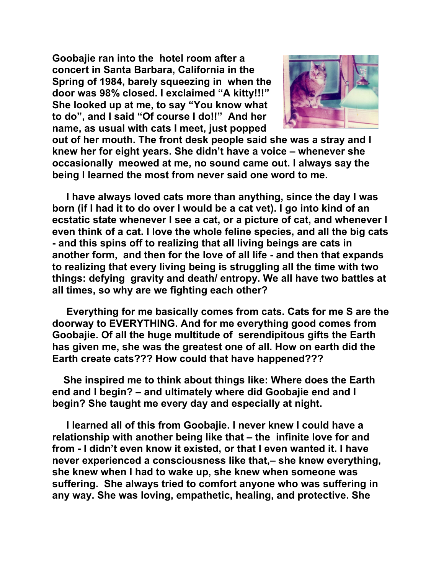**Goobajie ran into the hotel room after a concert in Santa Barbara, California in the Spring of 1984, barely squeezing in when the door was 98% closed. I exclaimed "A kitty!!!" She looked up at me, to say "You know what to do", and I said "Of course I do!!" And her name, as usual with cats I meet, just popped** 



**out of her mouth. The front desk people said she was a stray and I knew her for eight years. She didn't have a voice – whenever she occasionally meowed at me, no sound came out. I always say the being I learned the most from never said one word to me.**

 **I have always loved cats more than anything, since the day I was born (if I had it to do over I would be a cat vet). I go into kind of an ecstatic state whenever I see a cat, or a picture of cat, and whenever I even think of a cat. I love the whole feline species, and all the big cats - and this spins off to realizing that all living beings are cats in another form, and then for the love of all life - and then that expands to realizing that every living being is struggling all the time with two things: defying gravity and death/ entropy. We all have two battles at all times, so why are we fighting each other?** 

 **Everything for me basically comes from cats. Cats for me S are the doorway to EVERYTHING. And for me everything good comes from Goobajie. Of all the huge multitude of serendipitous gifts the Earth has given me, she was the greatest one of all. How on earth did the Earth create cats??? How could that have happened???** 

 **She inspired me to think about things like: Where does the Earth end and I begin? – and ultimately where did Goobajie end and I begin? She taught me every day and especially at night.**

 **I learned all of this from Goobajie. I never knew I could have a relationship with another being like that – the infinite love for and from - I didn't even know it existed, or that I even wanted it. I have never experienced a consciousness like that,– she knew everything, she knew when I had to wake up, she knew when someone was suffering. She always tried to comfort anyone who was suffering in any way. She was loving, empathetic, healing, and protective. She**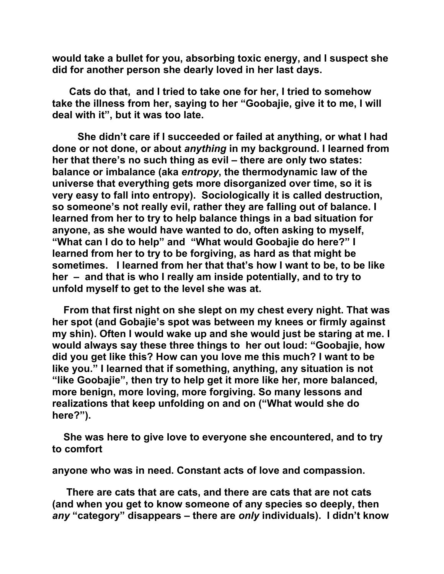**would take a bullet for you, absorbing toxic energy, and I suspect she did for another person she dearly loved in her last days.** 

 **Cats do that, and I tried to take one for her, I tried to somehow take the illness from her, saying to her "Goobajie, give it to me, I will deal with it", but it was too late.**

 **She didn't care if I succeeded or failed at anything, or what I had done or not done, or about** *anything* **in my background. I learned from her that there's no such thing as evil – there are only two states: balance or imbalance (aka** *entropy***, the thermodynamic law of the universe that everything gets more disorganized over time, so it is very easy to fall into entropy). Sociologically it is called destruction, so someone's not really evil, rather they are falling out of balance. I learned from her to try to help balance things in a bad situation for anyone, as she would have wanted to do, often asking to myself, "What can I do to help" and "What would Goobajie do here?" I learned from her to try to be forgiving, as hard as that might be sometimes. I learned from her that that's how I want to be, to be like her – and that is who I really am inside potentially, and to try to unfold myself to get to the level she was at.** 

 **From that first night on she slept on my chest every night. That was her spot (and Gobajie's spot was between my knees or firmly against my shin). Often I would wake up and she would just be staring at me. I would always say these three things to her out loud: "Goobajie, how did you get like this? How can you love me this much? I want to be like you." I learned that if something, anything, any situation is not "like Goobajie", then try to help get it more like her, more balanced, more benign, more loving, more forgiving. So many lessons and realizations that keep unfolding on and on ("What would she do here?").**

 **She was here to give love to everyone she encountered, and to try to comfort**

**anyone who was in need. Constant acts of love and compassion.** 

 **There are cats that are cats, and there are cats that are not cats (and when you get to know someone of any species so deeply, then**  *any* **"category" disappears – there are** *only* **individuals). I didn't know**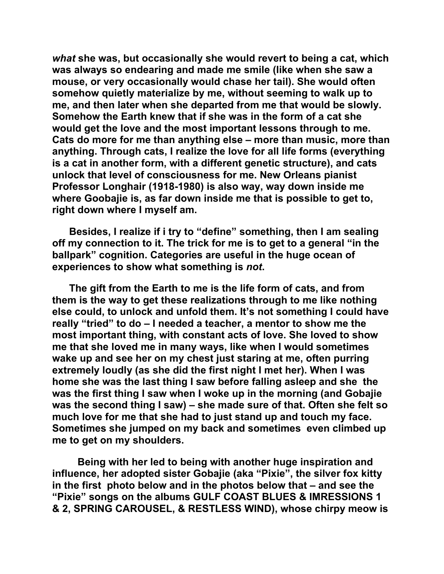*what* **she was, but occasionally she would revert to being a cat, which was always so endearing and made me smile (like when she saw a mouse, or very occasionally would chase her tail). She would often somehow quietly materialize by me, without seeming to walk up to me, and then later when she departed from me that would be slowly. Somehow the Earth knew that if she was in the form of a cat she would get the love and the most important lessons through to me. Cats do more for me than anything else – more than music, more than anything. Through cats, I realize the love for all life forms (everything is a cat in another form, with a different genetic structure), and cats unlock that level of consciousness for me. New Orleans pianist Professor Longhair (1918-1980) is also way, way down inside me where Goobajie is, as far down inside me that is possible to get to, right down where I myself am.**

 **Besides, I realize if i try to "define" something, then I am sealing off my connection to it. The trick for me is to get to a general "in the ballpark" cognition. Categories are useful in the huge ocean of experiences to show what something is** *not***.**

 **The gift from the Earth to me is the life form of cats, and from them is the way to get these realizations through to me like nothing else could, to unlock and unfold them. It's not something I could have really "tried" to do – I needed a teacher, a mentor to show me the most important thing, with constant acts of love. She loved to show me that she loved me in many ways, like when I would sometimes wake up and see her on my chest just staring at me, often purring extremely loudly (as she did the first night I met her). When I was home she was the last thing I saw before falling asleep and she the was the first thing I saw when I woke up in the morning (and Gobajie was the second thing I saw) – she made sure of that. Often she felt so much love for me that she had to just stand up and touch my face. Sometimes she jumped on my back and sometimes even climbed up me to get on my shoulders.**

 **Being with her led to being with another huge inspiration and influence, her adopted sister Gobajie (aka "Pixie", the silver fox kitty in the first photo below and in the photos below that – and see the "Pixie" songs on the albums GULF COAST BLUES & IMRESSIONS 1 & 2, SPRING CAROUSEL, & RESTLESS WIND), whose chirpy meow is**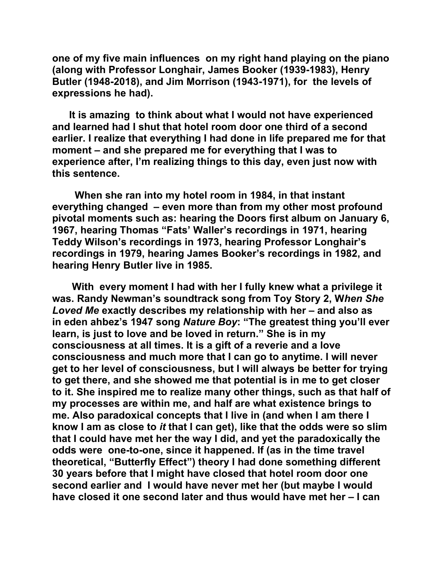**one of my five main influences on my right hand playing on the piano (along with Professor Longhair, James Booker (1939-1983), Henry Butler (1948-2018), and Jim Morrison (1943-1971), for the levels of expressions he had).**

 **It is amazing to think about what I would not have experienced and learned had I shut that hotel room door one third of a second earlier. I realize that everything I had done in life prepared me for that moment – and she prepared me for everything that I was to experience after, I'm realizing things to this day, even just now with this sentence.**

 **When she ran into my hotel room in 1984, in that instant everything changed – even more than from my other most profound pivotal moments such as: hearing the Doors first album on January 6, 1967, hearing Thomas "Fats' Waller's recordings in 1971, hearing Teddy Wilson's recordings in 1973, hearing Professor Longhair's recordings in 1979, hearing James Booker's recordings in 1982, and hearing Henry Butler live in 1985.**

 **With every moment I had with her I fully knew what a privilege it was. Randy Newman's soundtrack song from Toy Story 2, W***hen She Loved Me* **exactly describes my relationship with her – and also as in eden ahbez's 1947 song** *Nature Boy***: "The greatest thing you'll ever learn, is just to love and be loved in return." She is in my consciousness at all times. It is a gift of a reverie and a love consciousness and much more that I can go to anytime. I will never get to her level of consciousness, but I will always be better for trying to get there, and she showed me that potential is in me to get closer to it. She inspired me to realize many other things, such as that half of my processes are within me, and half are what existence brings to me. Also paradoxical concepts that I live in (and when I am there I know I am as close to** *it* **that I can get), like that the odds were so slim that I could have met her the way I did, and yet the paradoxically the odds were one-to-one, since it happened. If (as in the time travel theoretical, "Butterfly Effect") theory I had done something different 30 years before that I might have closed that hotel room door one second earlier and I would have never met her (but maybe I would have closed it one second later and thus would have met her – I can**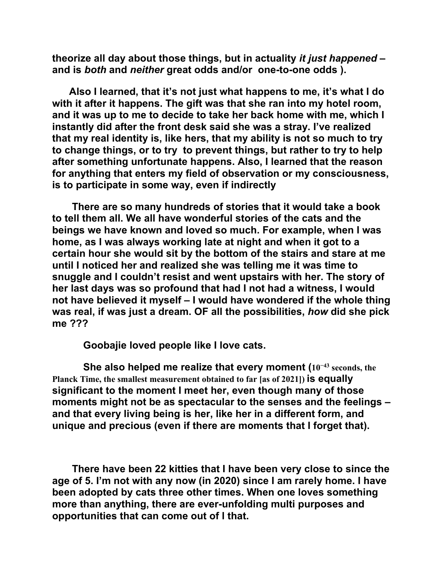**theorize all day about those things, but in actuality** *it just happened –* **and is** *both* **and** *neither* **great odds and/or one-to-one odds ).**

 **Also I learned, that it's not just what happens to me, it's what I do with it after it happens. The gift was that she ran into my hotel room, and it was up to me to decide to take her back home with me, which I instantly did after the front desk said she was a stray. I've realized that my real identity is, like hers, that my ability is not so much to try to change things, or to try to prevent things, but rather to try to help after something unfortunate happens. Also, I learned that the reason for anything that enters my field of observation or my consciousness, is to participate in some way, even if indirectly**

 **There are so many hundreds of stories that it would take a book to tell them all. We all have wonderful stories of the cats and the beings we have known and loved so much. For example, when I was home, as I was always working late at night and when it got to a certain hour she would sit by the bottom of the stairs and stare at me until I noticed her and realized she was telling me it was time to snuggle and I couldn't resist and went upstairs with her. The story of her last days was so profound that had I not had a witness, I would not have believed it myself – I would have wondered if the whole thing was real, if was just a dream. OF all the possibilities,** *how* **did she pick me ???**

 **Goobajie loved people like I love cats.**

 **She also helped me realize that every moment (10−43 seconds, the Planck Time, the smallest measurement obtained to far [as of 2021]) is equally significant to the moment I meet her, even though many of those moments might not be as spectacular to the senses and the feelings – and that every living being is her, like her in a different form, and unique and precious (even if there are moments that I forget that).**

 **There have been 22 kitties that I have been very close to since the age of 5. I'm not with any now (in 2020) since I am rarely home. I have been adopted by cats three other times. When one loves something more than anything, there are ever-unfolding multi purposes and opportunities that can come out of l that.**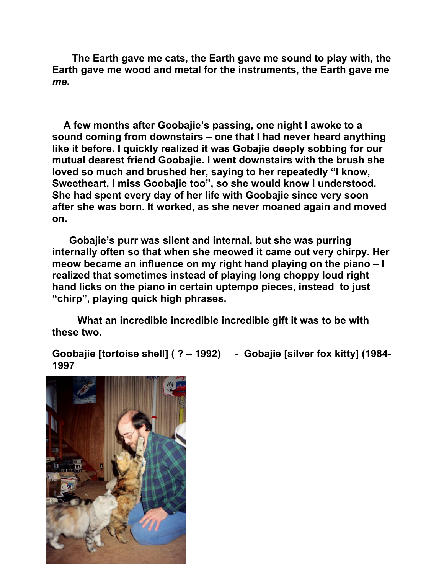**The Earth gave me cats, the Earth gave me sound to play with, the Earth gave me wood and metal for the instruments, the Earth gave me**  *me***.**

 **A few months after Goobajie's passing, one night I awoke to a sound coming from downstairs – one that I had never heard anything like it before. I quickly realized it was Gobajie deeply sobbing for our mutual dearest friend Goobajie. I went downstairs with the brush she loved so much and brushed her, saying to her repeatedly "I know, Sweetheart, I miss Goobajie too", so she would know I understood. She had spent every day of her life with Goobajie since very soon after she was born. It worked, as she never moaned again and moved on.**

 **Gobajie's purr was silent and internal, but she was purring internally often so that when she meowed it came out very chirpy. Her meow became an influence on my right hand playing on the piano – I realized that sometimes instead of playing long choppy loud right hand licks on the piano in certain uptempo pieces, instead to just "chirp", playing quick high phrases.** 

 **What an incredible incredible incredible gift it was to be with these two.**

**Goobajie [tortoise shell] ( ? – 1992) - Gobajie [silver fox kitty] (1984- 1997**